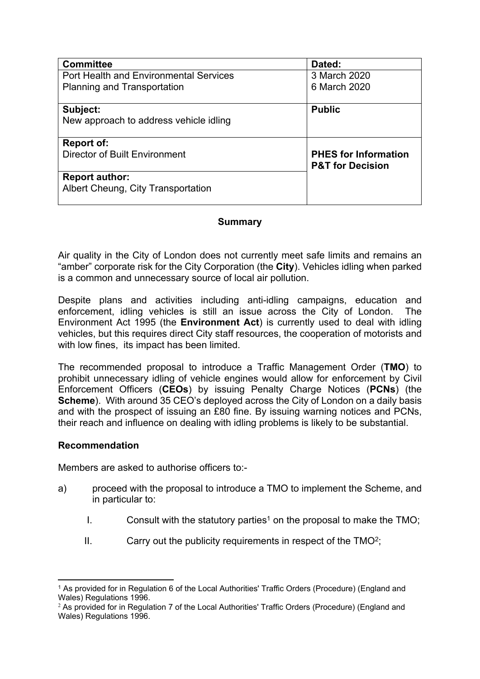| <b>Committee</b>                                            | Dated:                                                     |
|-------------------------------------------------------------|------------------------------------------------------------|
| <b>Port Health and Environmental Services</b>               | 3 March 2020                                               |
| Planning and Transportation                                 | 6 March 2020                                               |
|                                                             |                                                            |
| Subject:                                                    | <b>Public</b>                                              |
| New approach to address vehicle idling                      |                                                            |
| <b>Report of:</b>                                           |                                                            |
| <b>Director of Built Environment</b>                        | <b>PHES for Information</b><br><b>P&amp;T for Decision</b> |
| <b>Report author:</b><br>Albert Cheung, City Transportation |                                                            |
|                                                             |                                                            |

#### **Summary**

Air quality in the City of London does not currently meet safe limits and remains an "amber" corporate risk for the City Corporation (the **City**). Vehicles idling when parked is a common and unnecessary source of local air pollution.

Despite plans and activities including anti-idling campaigns, education and enforcement, idling vehicles is still an issue across the City of London. The Environment Act 1995 (the **Environment Act**) is currently used to deal with idling vehicles, but this requires direct City staff resources, the cooperation of motorists and with low fines, its impact has been limited.

The recommended proposal to introduce a Traffic Management Order (**TMO**) to prohibit unnecessary idling of vehicle engines would allow for enforcement by Civil Enforcement Officers (**CEOs**) by issuing Penalty Charge Notices (**PCNs**) (the **Scheme**). With around 35 CEO's deployed across the City of London on a daily basis and with the prospect of issuing an £80 fine. By issuing warning notices and PCNs, their reach and influence on dealing with idling problems is likely to be substantial.

#### **Recommendation**

Members are asked to authorise officers to:-

- a) proceed with the proposal to introduce a TMO to implement the Scheme, and in particular to:
	- I. Consult with the statutory parties<sup>1</sup> on the proposal to make the TMO;
	- $II.$  Carry out the publicity requirements in respect of the TMO<sup>2</sup>;

<sup>1</sup> As provided for in Regulation 6 of the Local Authorities' Traffic Orders (Procedure) (England and Wales) Regulations 1996.

<sup>&</sup>lt;sup>2</sup> As provided for in Regulation 7 of the Local Authorities' Traffic Orders (Procedure) (England and Wales) Regulations 1996.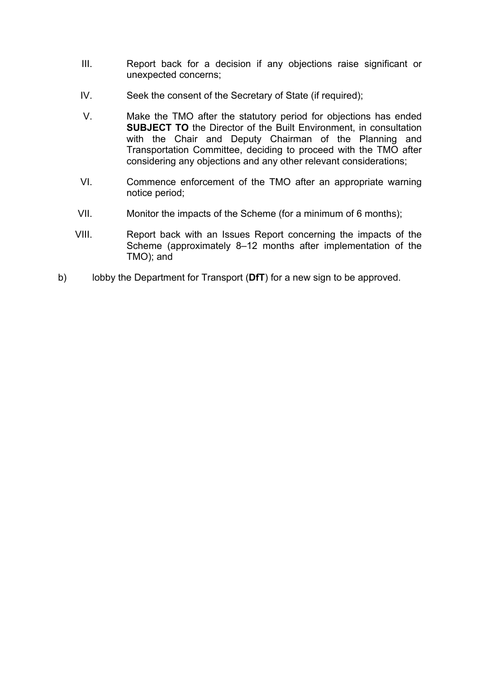- III. Report back for a decision if any objections raise significant or unexpected concerns;
- IV. Seek the consent of the Secretary of State (if required);
- V. Make the TMO after the statutory period for objections has ended **SUBJECT TO** the Director of the Built Environment, in consultation with the Chair and Deputy Chairman of the Planning and Transportation Committee, deciding to proceed with the TMO after considering any objections and any other relevant considerations;
- VI. Commence enforcement of the TMO after an appropriate warning notice period;
- VII. Monitor the impacts of the Scheme (for a minimum of 6 months);
- VIII. Report back with an Issues Report concerning the impacts of the Scheme (approximately 8–12 months after implementation of the TMO); and
- b) lobby the Department for Transport (**DfT**) for a new sign to be approved.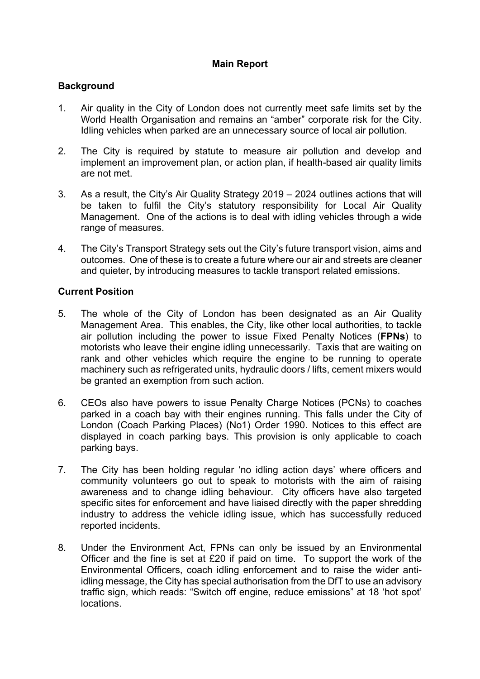# **Main Report**

### **Background**

- 1. Air quality in the City of London does not currently meet safe limits set by the World Health Organisation and remains an "amber" corporate risk for the City. Idling vehicles when parked are an unnecessary source of local air pollution.
- 2. The City is required by statute to measure air pollution and develop and implement an improvement plan, or action plan, if health-based air quality limits are not met.
- 3. As a result, the City's Air Quality Strategy 2019 2024 outlines actions that will be taken to fulfil the City's statutory responsibility for Local Air Quality Management. One of the actions is to deal with idling vehicles through a wide range of measures.
- 4. The City's Transport Strategy sets out the City's future transport vision, aims and outcomes. One of these is to create a future where our air and streets are cleaner and quieter, by introducing measures to tackle transport related emissions.

### **Current Position**

- 5. The whole of the City of London has been designated as an Air Quality Management Area. This enables, the City, like other local authorities, to tackle air pollution including the power to issue Fixed Penalty Notices (**FPNs**) to motorists who leave their engine idling unnecessarily. Taxis that are waiting on rank and other vehicles which require the engine to be running to operate machinery such as refrigerated units, hydraulic doors / lifts, cement mixers would be granted an exemption from such action.
- 6. CEOs also have powers to issue Penalty Charge Notices (PCNs) to coaches parked in a coach bay with their engines running. This falls under the City of London (Coach Parking Places) (No1) Order 1990. Notices to this effect are displayed in coach parking bays. This provision is only applicable to coach parking bays.
- 7. The City has been holding regular 'no idling action days' where officers and community volunteers go out to speak to motorists with the aim of raising awareness and to change idling behaviour. City officers have also targeted specific sites for enforcement and have liaised directly with the paper shredding industry to address the vehicle idling issue, which has successfully reduced reported incidents.
- 8. Under the Environment Act, FPNs can only be issued by an Environmental Officer and the fine is set at £20 if paid on time. To support the work of the Environmental Officers, coach idling enforcement and to raise the wider antiidling message, the City has special authorisation from the DfT to use an advisory traffic sign, which reads: "Switch off engine, reduce emissions" at 18 'hot spot' locations.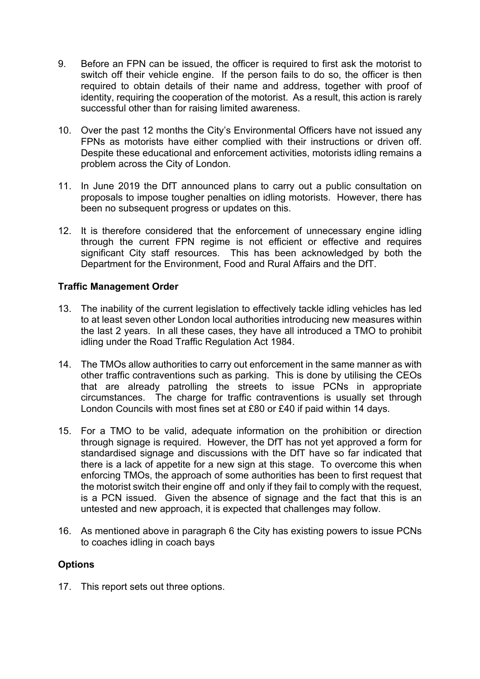- 9. Before an FPN can be issued, the officer is required to first ask the motorist to switch off their vehicle engine. If the person fails to do so, the officer is then required to obtain details of their name and address, together with proof of identity, requiring the cooperation of the motorist. As a result, this action is rarely successful other than for raising limited awareness.
- 10. Over the past 12 months the City's Environmental Officers have not issued any FPNs as motorists have either complied with their instructions or driven off. Despite these educational and enforcement activities, motorists idling remains a problem across the City of London.
- 11. In June 2019 the DfT announced plans to carry out a public consultation on proposals to impose tougher penalties on idling motorists. However, there has been no subsequent progress or updates on this.
- 12. It is therefore considered that the enforcement of unnecessary engine idling through the current FPN regime is not efficient or effective and requires significant City staff resources. This has been acknowledged by both the Department for the Environment, Food and Rural Affairs and the DfT.

### **Traffic Management Order**

- 13. The inability of the current legislation to effectively tackle idling vehicles has led to at least seven other London local authorities introducing new measures within the last 2 years. In all these cases, they have all introduced a TMO to prohibit idling under the Road Traffic Regulation Act 1984.
- 14. The TMOs allow authorities to carry out enforcement in the same manner as with other traffic contraventions such as parking. This is done by utilising the CEOs that are already patrolling the streets to issue PCNs in appropriate circumstances. The charge for traffic contraventions is usually set through London Councils with most fines set at £80 or £40 if paid within 14 days.
- 15. For a TMO to be valid, adequate information on the prohibition or direction through signage is required. However, the DfT has not yet approved a form for standardised signage and discussions with the DfT have so far indicated that there is a lack of appetite for a new sign at this stage. To overcome this when enforcing TMOs, the approach of some authorities has been to first request that the motorist switch their engine off and only if they fail to comply with the request, is a PCN issued. Given the absence of signage and the fact that this is an untested and new approach, it is expected that challenges may follow.
- 16. As mentioned above in paragraph 6 the City has existing powers to issue PCNs to coaches idling in coach bays

# **Options**

17. This report sets out three options.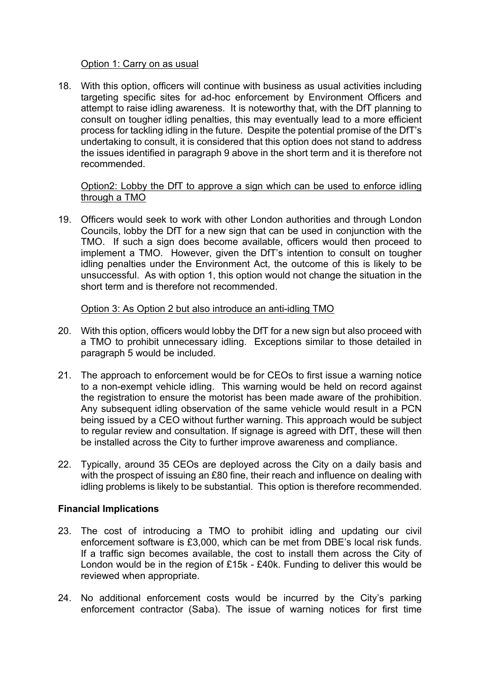#### Option 1: Carry on as usual

18. With this option, officers will continue with business as usual activities including targeting specific sites for ad-hoc enforcement by Environment Officers and attempt to raise idling awareness. It is noteworthy that, with the DfT planning to consult on tougher idling penalties, this may eventually lead to a more efficient process for tackling idling in the future. Despite the potential promise of the DfT's undertaking to consult, it is considered that this option does not stand to address the issues identified in paragraph 9 above in the short term and it is therefore not recommended.

#### Option2: Lobby the DfT to approve a sign which can be used to enforce idling through a TMO

19. Officers would seek to work with other London authorities and through London Councils, lobby the DfT for a new sign that can be used in conjunction with the TMO. If such a sign does become available, officers would then proceed to implement a TMO. However, given the DfT's intention to consult on tougher idling penalties under the Environment Act, the outcome of this is likely to be unsuccessful. As with option 1, this option would not change the situation in the short term and is therefore not recommended.

### Option 3: As Option 2 but also introduce an anti-idling TMO

- 20. With this option, officers would lobby the DfT for a new sign but also proceed with a TMO to prohibit unnecessary idling. Exceptions similar to those detailed in paragraph 5 would be included.
- 21. The approach to enforcement would be for CEOs to first issue a warning notice to a non-exempt vehicle idling. This warning would be held on record against the registration to ensure the motorist has been made aware of the prohibition. Any subsequent idling observation of the same vehicle would result in a PCN being issued by a CEO without further warning. This approach would be subject to regular review and consultation. If signage is agreed with DfT, these will then be installed across the City to further improve awareness and compliance.
- 22. Typically, around 35 CEOs are deployed across the City on a daily basis and with the prospect of issuing an £80 fine, their reach and influence on dealing with idling problems is likely to be substantial. This option is therefore recommended.

# **Financial Implications**

- 23. The cost of introducing a TMO to prohibit idling and updating our civil enforcement software is £3,000, which can be met from DBE's local risk funds. If a traffic sign becomes available, the cost to install them across the City of London would be in the region of £15k - £40k. Funding to deliver this would be reviewed when appropriate.
- 24. No additional enforcement costs would be incurred by the City's parking enforcement contractor (Saba). The issue of warning notices for first time